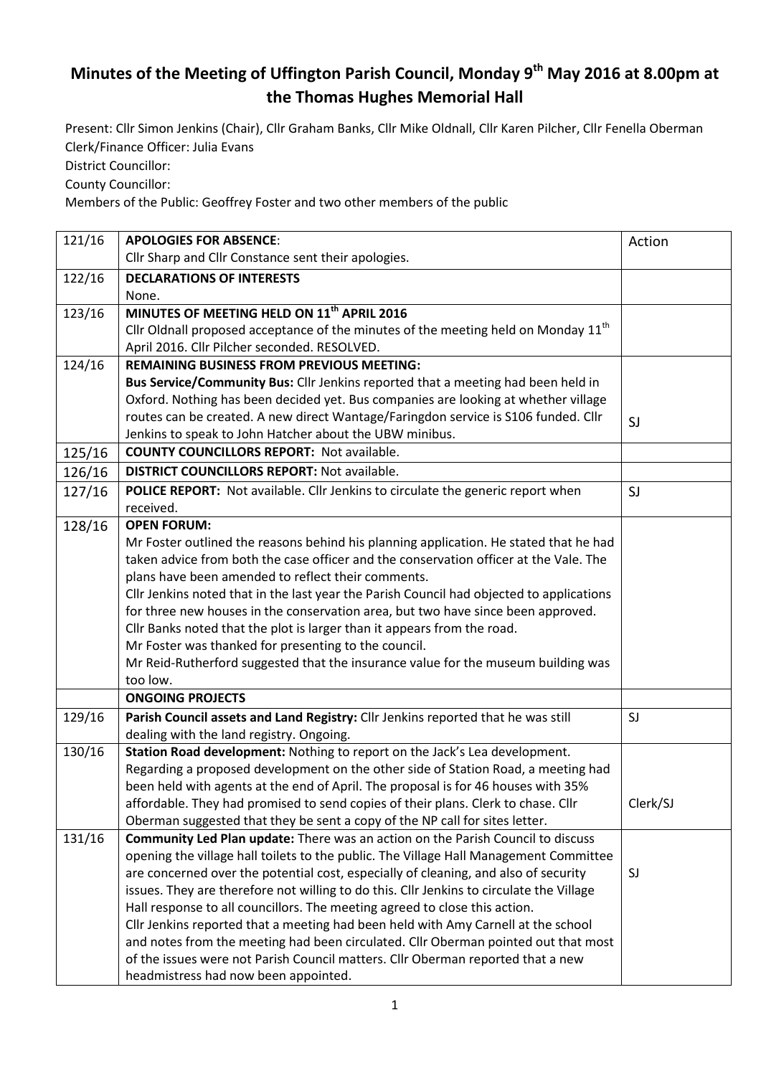## **Minutes of the Meeting of Uffington Parish Council, Monday 9 th May 2016 at 8.00pm at the Thomas Hughes Memorial Hall**

Present: Cllr Simon Jenkins (Chair), Cllr Graham Banks, Cllr Mike Oldnall, Cllr Karen Pilcher, Cllr Fenella Oberman Clerk/Finance Officer: Julia Evans

District Councillor:

County Councillor:

Members of the Public: Geoffrey Foster and two other members of the public

| 121/16 | <b>APOLOGIES FOR ABSENCE:</b>                                                                  | Action   |
|--------|------------------------------------------------------------------------------------------------|----------|
|        | Cllr Sharp and Cllr Constance sent their apologies.                                            |          |
| 122/16 | <b>DECLARATIONS OF INTERESTS</b>                                                               |          |
|        | None.                                                                                          |          |
| 123/16 | MINUTES OF MEETING HELD ON 11 <sup>th</sup> APRIL 2016                                         |          |
|        | Cllr Oldnall proposed acceptance of the minutes of the meeting held on Monday 11 <sup>th</sup> |          |
|        | April 2016. Cllr Pilcher seconded. RESOLVED.                                                   |          |
| 124/16 | <b>REMAINING BUSINESS FROM PREVIOUS MEETING:</b>                                               |          |
|        | Bus Service/Community Bus: Cllr Jenkins reported that a meeting had been held in               |          |
|        | Oxford. Nothing has been decided yet. Bus companies are looking at whether village             |          |
|        | routes can be created. A new direct Wantage/Faringdon service is S106 funded. Cllr             | SJ       |
|        | Jenkins to speak to John Hatcher about the UBW minibus.                                        |          |
| 125/16 | <b>COUNTY COUNCILLORS REPORT: Not available.</b>                                               |          |
| 126/16 | <b>DISTRICT COUNCILLORS REPORT: Not available.</b>                                             |          |
| 127/16 | POLICE REPORT: Not available. Cllr Jenkins to circulate the generic report when                | SJ       |
|        | received.                                                                                      |          |
| 128/16 | <b>OPEN FORUM:</b>                                                                             |          |
|        | Mr Foster outlined the reasons behind his planning application. He stated that he had          |          |
|        | taken advice from both the case officer and the conservation officer at the Vale. The          |          |
|        | plans have been amended to reflect their comments.                                             |          |
|        | Cllr Jenkins noted that in the last year the Parish Council had objected to applications       |          |
|        | for three new houses in the conservation area, but two have since been approved.               |          |
|        | Cllr Banks noted that the plot is larger than it appears from the road.                        |          |
|        | Mr Foster was thanked for presenting to the council.                                           |          |
|        | Mr Reid-Rutherford suggested that the insurance value for the museum building was              |          |
|        | too low.                                                                                       |          |
|        | <b>ONGOING PROJECTS</b>                                                                        |          |
| 129/16 | Parish Council assets and Land Registry: Cllr Jenkins reported that he was still               | SJ       |
|        | dealing with the land registry. Ongoing.                                                       |          |
| 130/16 | Station Road development: Nothing to report on the Jack's Lea development.                     |          |
|        | Regarding a proposed development on the other side of Station Road, a meeting had              |          |
|        | been held with agents at the end of April. The proposal is for 46 houses with 35%              |          |
|        | affordable. They had promised to send copies of their plans. Clerk to chase. Cllr              | Clerk/SJ |
|        | Oberman suggested that they be sent a copy of the NP call for sites letter.                    |          |
| 131/16 | Community Led Plan update: There was an action on the Parish Council to discuss                |          |
|        | opening the village hall toilets to the public. The Village Hall Management Committee          |          |
|        | are concerned over the potential cost, especially of cleaning, and also of security            | SJ       |
|        | issues. They are therefore not willing to do this. Cllr Jenkins to circulate the Village       |          |
|        | Hall response to all councillors. The meeting agreed to close this action.                     |          |
|        | Cllr Jenkins reported that a meeting had been held with Amy Carnell at the school              |          |
|        | and notes from the meeting had been circulated. Cllr Oberman pointed out that most             |          |
|        | of the issues were not Parish Council matters. Cllr Oberman reported that a new                |          |
|        | headmistress had now been appointed.                                                           |          |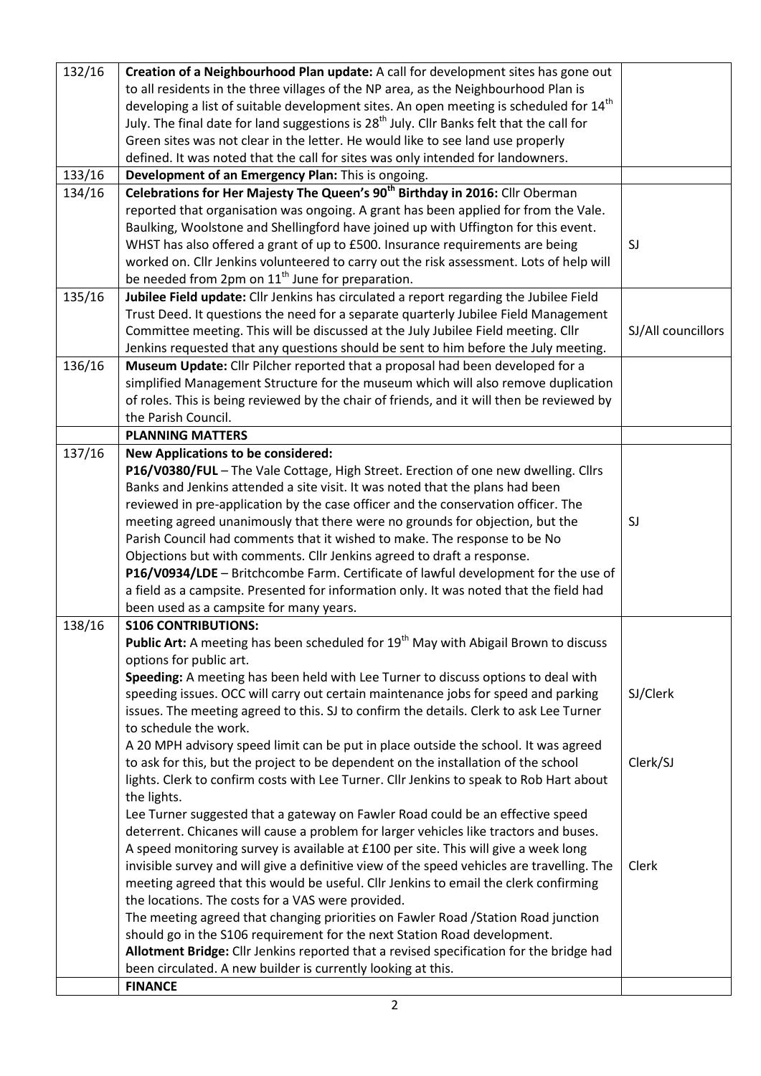| 132/16 | Creation of a Neighbourhood Plan update: A call for development sites has gone out                     |                    |
|--------|--------------------------------------------------------------------------------------------------------|--------------------|
|        | to all residents in the three villages of the NP area, as the Neighbourhood Plan is                    |                    |
|        | developing a list of suitable development sites. An open meeting is scheduled for 14 <sup>th</sup>     |                    |
|        | July. The final date for land suggestions is 28 <sup>th</sup> July. Cllr Banks felt that the call for  |                    |
|        | Green sites was not clear in the letter. He would like to see land use properly                        |                    |
|        | defined. It was noted that the call for sites was only intended for landowners.                        |                    |
| 133/16 | Development of an Emergency Plan: This is ongoing.                                                     |                    |
| 134/16 | Celebrations for Her Majesty The Queen's 90 <sup>th</sup> Birthday in 2016: Cllr Oberman               |                    |
|        | reported that organisation was ongoing. A grant has been applied for from the Vale.                    |                    |
|        | Baulking, Woolstone and Shellingford have joined up with Uffington for this event.                     |                    |
|        | WHST has also offered a grant of up to £500. Insurance requirements are being                          | SJ                 |
|        | worked on. Cllr Jenkins volunteered to carry out the risk assessment. Lots of help will                |                    |
|        | be needed from 2pm on 11 <sup>th</sup> June for preparation.                                           |                    |
| 135/16 | Jubilee Field update: Cllr Jenkins has circulated a report regarding the Jubilee Field                 |                    |
|        | Trust Deed. It questions the need for a separate quarterly Jubilee Field Management                    |                    |
|        | Committee meeting. This will be discussed at the July Jubilee Field meeting. Cllr                      | SJ/All councillors |
|        | Jenkins requested that any questions should be sent to him before the July meeting.                    |                    |
| 136/16 | Museum Update: Cllr Pilcher reported that a proposal had been developed for a                          |                    |
|        | simplified Management Structure for the museum which will also remove duplication                      |                    |
|        | of roles. This is being reviewed by the chair of friends, and it will then be reviewed by              |                    |
|        | the Parish Council.                                                                                    |                    |
|        | <b>PLANNING MATTERS</b>                                                                                |                    |
| 137/16 | <b>New Applications to be considered:</b>                                                              |                    |
|        | P16/V0380/FUL - The Vale Cottage, High Street. Erection of one new dwelling. Cllrs                     |                    |
|        | Banks and Jenkins attended a site visit. It was noted that the plans had been                          |                    |
|        | reviewed in pre-application by the case officer and the conservation officer. The                      |                    |
|        | meeting agreed unanimously that there were no grounds for objection, but the                           | SJ                 |
|        | Parish Council had comments that it wished to make. The response to be No                              |                    |
|        | Objections but with comments. Cllr Jenkins agreed to draft a response.                                 |                    |
|        | P16/V0934/LDE - Britchcombe Farm. Certificate of lawful development for the use of                     |                    |
|        | a field as a campsite. Presented for information only. It was noted that the field had                 |                    |
|        | been used as a campsite for many years.                                                                |                    |
| 138/16 | <b>S106 CONTRIBUTIONS:</b>                                                                             |                    |
|        | <b>Public Art:</b> A meeting has been scheduled for 19 <sup>th</sup> May with Abigail Brown to discuss |                    |
|        | options for public art.                                                                                |                    |
|        | Speeding: A meeting has been held with Lee Turner to discuss options to deal with                      |                    |
|        | speeding issues. OCC will carry out certain maintenance jobs for speed and parking                     | SJ/Clerk           |
|        | issues. The meeting agreed to this. SJ to confirm the details. Clerk to ask Lee Turner                 |                    |
|        | to schedule the work.                                                                                  |                    |
|        | A 20 MPH advisory speed limit can be put in place outside the school. It was agreed                    |                    |
|        | to ask for this, but the project to be dependent on the installation of the school                     | Clerk/SJ           |
|        | lights. Clerk to confirm costs with Lee Turner. Cllr Jenkins to speak to Rob Hart about                |                    |
|        | the lights.                                                                                            |                    |
|        | Lee Turner suggested that a gateway on Fawler Road could be an effective speed                         |                    |
|        | deterrent. Chicanes will cause a problem for larger vehicles like tractors and buses.                  |                    |
|        | A speed monitoring survey is available at £100 per site. This will give a week long                    |                    |
|        | invisible survey and will give a definitive view of the speed vehicles are travelling. The             | Clerk              |
|        | meeting agreed that this would be useful. Cllr Jenkins to email the clerk confirming                   |                    |
|        | the locations. The costs for a VAS were provided.                                                      |                    |
|        | The meeting agreed that changing priorities on Fawler Road / Station Road junction                     |                    |
|        | should go in the S106 requirement for the next Station Road development.                               |                    |
|        | Allotment Bridge: Cllr Jenkins reported that a revised specification for the bridge had                |                    |
|        | been circulated. A new builder is currently looking at this.                                           |                    |
|        | <b>FINANCE</b>                                                                                         |                    |